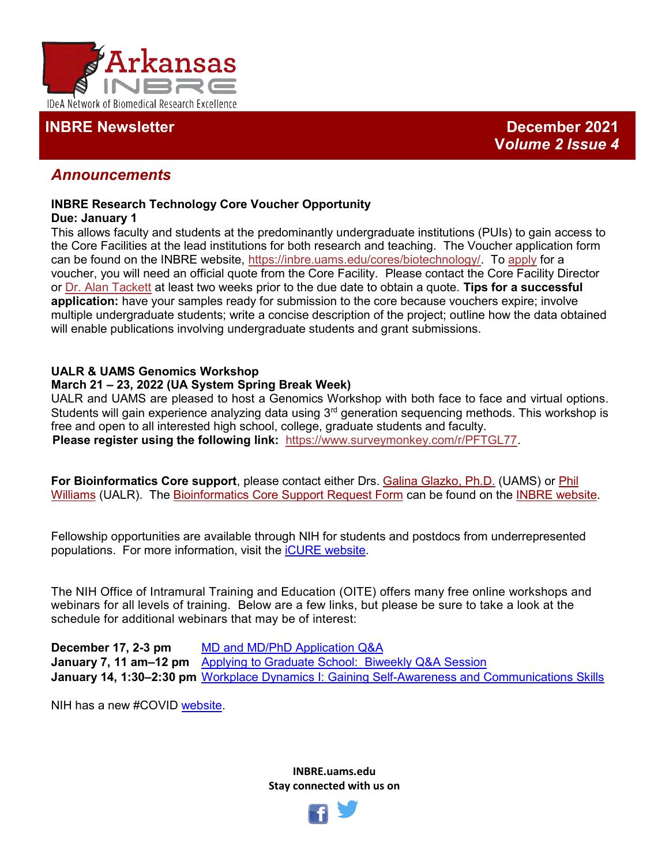

## **INBRE Newsletter December 2021**

## *Announcements*

## **INBRE Research Technology Core Voucher Opportunity**

## **Due: January 1**

This allows faculty and students at the predominantly undergraduate institutions (PUIs) to gain access to the Core Facilities at the lead institutions for both research and teaching. The Voucher application form can be found on the INBRE website, [https://inbre.uams.edu/cores/biotechnology/.](https://inbre.uams.edu/cores/biotechnology/) To [apply](https://base.uams.edu/redcap/surveys/?s=CXAH3JEXJL) for a voucher, you will need an official quote from the Core Facility. Please contact the Core Facility Director or [Dr. Alan Tackett](mailto:AJTackett@uams.edu) at least two weeks prior to the due date to obtain a quote. **Tips for a successful application:** have your samples ready for submission to the core because vouchers expire; involve multiple undergraduate students; write a concise description of the project; outline how the data obtained will enable publications involving undergraduate students and grant submissions.

## **UALR & UAMS Genomics Workshop**

## **March 21 – 23, 2022 (UA System Spring Break Week)**

UALR and UAMS are pleased to host a Genomics Workshop with both face to face and virtual options. Students will gain experience analyzing data using  $3<sup>rd</sup>$  generation sequencing methods. This workshop is free and open to all interested high school, college, graduate students and faculty. **Please register using the following link:** [https://www.surveymonkey.com/r/PFTGL77.](https://urldefense.proofpoint.com/v2/url?u=https-3A__www.surveymonkey.com_r_PFTGL77&d=DwMFaQ&c=27AKQ-AFTMvLXtgZ7shZqsfSXu-Fwzpqk4BoASshREk&r=-WYGTnrm1JGuLgj5jK2rQTvm6otK88rDis38lQ8nyns&m=6Lt44MoXgpz0pohr73qqY8VMzFUW6X1UktdNBJhCXOY&s=6YiMAXIjuvZIgoVQlF5nse9h2O1B5ZjqmQYcmk40uNc&e=)

**For Bioinformatics Core support**, please contact either Drs. [Galina Glazko, Ph.D.](mailto:GVGlazko@uams.edeu) (UAMS) or [Phil](mailto:phwilliams@ualr.edu)  [Williams](mailto:phwilliams@ualr.edu) (UALR). The [Bioinformatics Core Support Request Form](http://dbmi.uams.edu/inbre/bioinformatics-core-support-request-form/) can be found on the [INBRE website.](https://inbre.uams.edu/cores/bioinformatics/)

Fellowship opportunities are available through NIH for students and postdocs from underrepresented populations. For more information, visit the [iCURE website.](https://www.cancer.gov/about-nci/organization/crchd/diversity-training/icure?cid=eb_govdel)

The NIH Office of Intramural Training and Education (OITE) offers many free online workshops and webinars for all levels of training. Below are a few links, but please be sure to take a look at the schedule for additional webinars that may be of interest:

**December 17, 2-3 pm** MD and MD/PhD [Application](https://www.training.nih.gov/events/view/_2/6130/MD_and_MD/PhD_Application_QA_Session) Q&A **January 7, 11 am–12 pm** Applying to Graduate [School: Biweekly](https://www.training.nih.gov/events/view/_2/5916/Applying_to_Graduate_School_Biweekly_QA_Session) Q&A Session **January 14, 1:30–2:30 pm** Workplace Dynamics I: Gaining Self-Awareness and [Communications](https://www.training.nih.gov/events/view/_2/5954/Workplace_Dynamics_I_Gaining_Self-awareness_and_Communication_Skillshttps:/www.training.nih.gov/events/view/_2/5954/Workplace_Dynamics_I_Gaining_Self-awareness_and_Communication_Skills) Skills

NIH has a new #COVID [website.](https://covid19.nih.gov/)

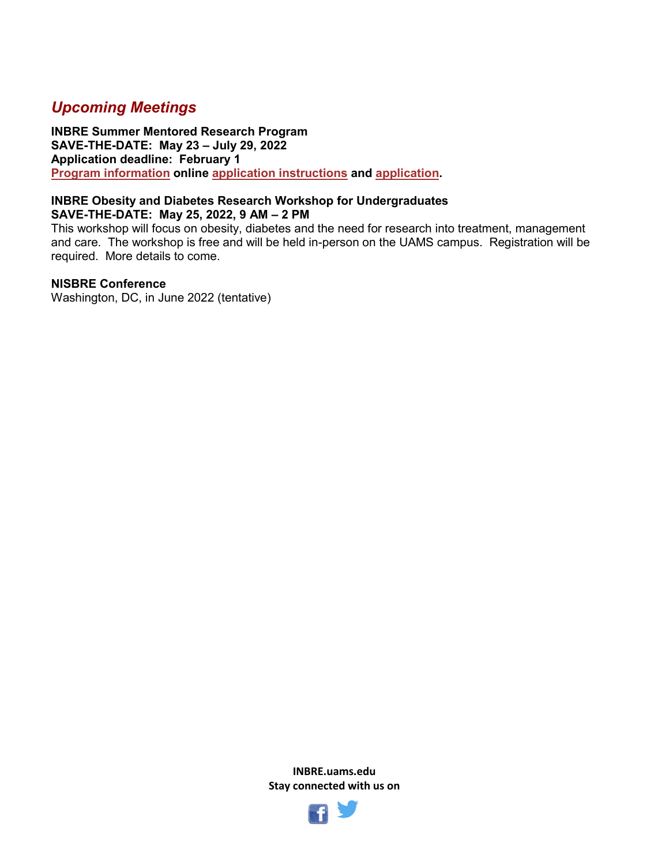# *Upcoming Meetings*

**INBRE Summer Mentored Research Program SAVE-THE-DATE: May 23 – July 29, 2022 Application deadline: February 1 [Program information](https://inbre.uams.edu/outreach-programs/student-summer-progam/) online [application instructions](https://inbre.uams.edu/outreach-programs/student-summer-progam/student-application-instructions/) and [application.](https://form.jotform.com/52985723879173)**

#### **INBRE Obesity and Diabetes Research Workshop for Undergraduates SAVE-THE-DATE: May 25, 2022, 9 AM – 2 PM**

This workshop will focus on obesity, diabetes and the need for research into treatment, management and care. The workshop is free and will be held in-person on the UAMS campus. Registration will be required. More details to come.

## **NISBRE Conference**

Washington, DC, in June 2022 (tentative)

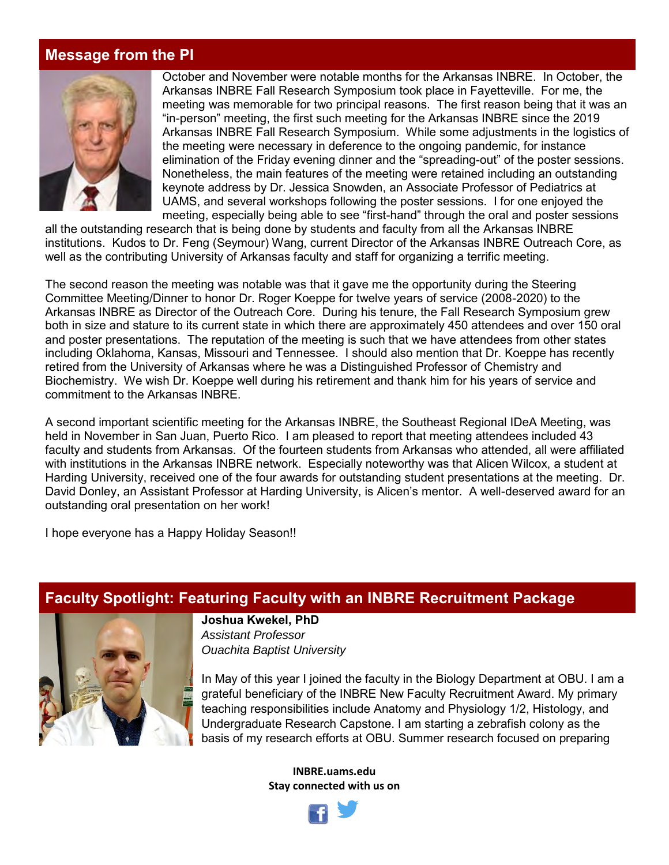# **Message from the PI**



October and November were notable months for the Arkansas INBRE. In October, the Arkansas INBRE Fall Research Symposium took place in Fayetteville. For me, the meeting was memorable for two principal reasons. The first reason being that it was an "in-person" meeting, the first such meeting for the Arkansas INBRE since the 2019 Arkansas INBRE Fall Research Symposium. While some adjustments in the logistics of the meeting were necessary in deference to the ongoing pandemic, for instance elimination of the Friday evening dinner and the "spreading-out" of the poster sessions. Nonetheless, the main features of the meeting were retained including an outstanding keynote address by Dr. Jessica Snowden, an Associate Professor of Pediatrics at UAMS, and several workshops following the poster sessions. I for one enjoyed the meeting, especially being able to see "first-hand" through the oral and poster sessions

all the outstanding research that is being done by students and faculty from all the Arkansas INBRE institutions. Kudos to Dr. Feng (Seymour) Wang, current Director of the Arkansas INBRE Outreach Core, as well as the contributing University of Arkansas faculty and staff for organizing a terrific meeting.

The second reason the meeting was notable was that it gave me the opportunity during the Steering Committee Meeting/Dinner to honor Dr. Roger Koeppe for twelve years of service (2008-2020) to the Arkansas INBRE as Director of the Outreach Core. During his tenure, the Fall Research Symposium grew both in size and stature to its current state in which there are approximately 450 attendees and over 150 oral and poster presentations. The reputation of the meeting is such that we have attendees from other states including Oklahoma, Kansas, Missouri and Tennessee. I should also mention that Dr. Koeppe has recently retired from the University of Arkansas where he was a Distinguished Professor of Chemistry and Biochemistry. We wish Dr. Koeppe well during his retirement and thank him for his years of service and commitment to the Arkansas INBRE.

A second important scientific meeting for the Arkansas INBRE, the Southeast Regional IDeA Meeting, was held in November in San Juan, Puerto Rico. I am pleased to report that meeting attendees included 43 faculty and students from Arkansas. Of the fourteen students from Arkansas who attended, all were affiliated with institutions in the Arkansas INBRE network. Especially noteworthy was that Alicen Wilcox, a student at Harding University, received one of the four awards for outstanding student presentations at the meeting. Dr. David Donley, an Assistant Professor at Harding University, is Alicen's mentor. A well-deserved award for an outstanding oral presentation on her work!

I hope everyone has a Happy Holiday Season!!

## **Faculty Spotlight: Featuring Faculty with an INBRE Recruitment Package**



**Joshua Kwekel, PhD** *Assistant Professor*

*Ouachita Baptist University*

In May of this year I joined the faculty in the Biology Department at OBU. I am a grateful beneficiary of the INBRE New Faculty Recruitment Award. My primary teaching responsibilities include Anatomy and Physiology 1/2, Histology, and Undergraduate Research Capstone. I am starting a zebrafish colony as the basis of my research efforts at OBU. Summer research focused on preparing

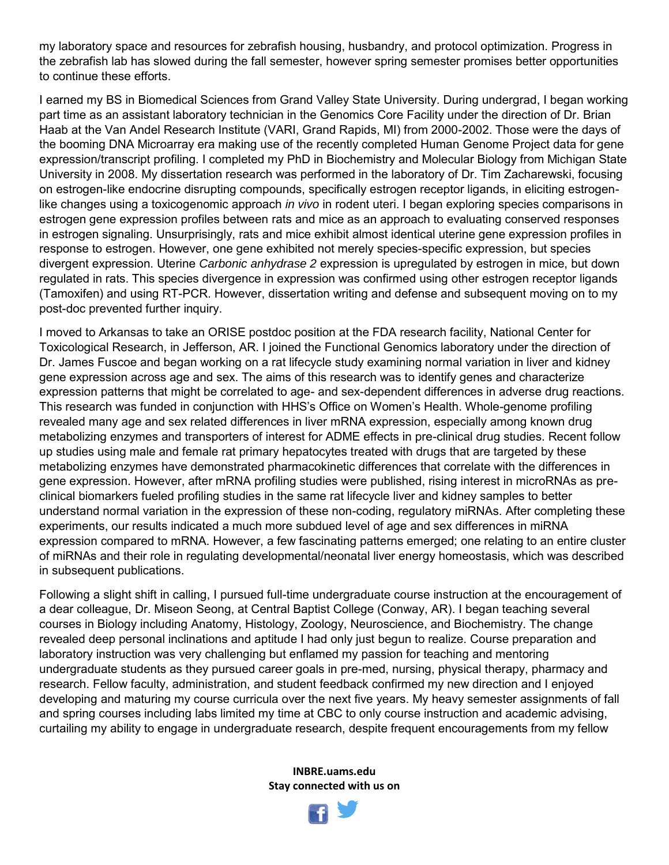my laboratory space and resources for zebrafish housing, husbandry, and protocol optimization. Progress in the zebrafish lab has slowed during the fall semester, however spring semester promises better opportunities to continue these efforts.

I earned my BS in Biomedical Sciences from Grand Valley State University. During undergrad, I began working part time as an assistant laboratory technician in the Genomics Core Facility under the direction of Dr. Brian Haab at the Van Andel Research Institute (VARI, Grand Rapids, MI) from 2000-2002. Those were the days of the booming DNA Microarray era making use of the recently completed Human Genome Project data for gene expression/transcript profiling. I completed my PhD in Biochemistry and Molecular Biology from Michigan State University in 2008. My dissertation research was performed in the laboratory of Dr. Tim Zacharewski, focusing on estrogen-like endocrine disrupting compounds, specifically estrogen receptor ligands, in eliciting estrogenlike changes using a toxicogenomic approach *in vivo* in rodent uteri. I began exploring species comparisons in estrogen gene expression profiles between rats and mice as an approach to evaluating conserved responses in estrogen signaling. Unsurprisingly, rats and mice exhibit almost identical uterine gene expression profiles in response to estrogen. However, one gene exhibited not merely species-specific expression, but species divergent expression. Uterine *Carbonic anhydrase 2* expression is upregulated by estrogen in mice, but down regulated in rats. This species divergence in expression was confirmed using other estrogen receptor ligands (Tamoxifen) and using RT-PCR. However, dissertation writing and defense and subsequent moving on to my post-doc prevented further inquiry.

I moved to Arkansas to take an ORISE postdoc position at the FDA research facility, National Center for Toxicological Research, in Jefferson, AR. I joined the Functional Genomics laboratory under the direction of Dr. James Fuscoe and began working on a rat lifecycle study examining normal variation in liver and kidney gene expression across age and sex. The aims of this research was to identify genes and characterize expression patterns that might be correlated to age- and sex-dependent differences in adverse drug reactions. This research was funded in conjunction with HHS's Office on Women's Health. Whole-genome profiling revealed many age and sex related differences in liver mRNA expression, especially among known drug metabolizing enzymes and transporters of interest for ADME effects in pre-clinical drug studies. Recent follow up studies using male and female rat primary hepatocytes treated with drugs that are targeted by these metabolizing enzymes have demonstrated pharmacokinetic differences that correlate with the differences in gene expression. However, after mRNA profiling studies were published, rising interest in microRNAs as preclinical biomarkers fueled profiling studies in the same rat lifecycle liver and kidney samples to better understand normal variation in the expression of these non-coding, regulatory miRNAs. After completing these experiments, our results indicated a much more subdued level of age and sex differences in miRNA expression compared to mRNA. However, a few fascinating patterns emerged; one relating to an entire cluster of miRNAs and their role in regulating developmental/neonatal liver energy homeostasis, which was described in subsequent publications.

Following a slight shift in calling, I pursued full-time undergraduate course instruction at the encouragement of a dear colleague, Dr. Miseon Seong, at Central Baptist College (Conway, AR). I began teaching several courses in Biology including Anatomy, Histology, Zoology, Neuroscience, and Biochemistry. The change revealed deep personal inclinations and aptitude I had only just begun to realize. Course preparation and laboratory instruction was very challenging but enflamed my passion for teaching and mentoring undergraduate students as they pursued career goals in pre-med, nursing, physical therapy, pharmacy and research. Fellow faculty, administration, and student feedback confirmed my new direction and I enjoyed developing and maturing my course curricula over the next five years. My heavy semester assignments of fall and spring courses including labs limited my time at CBC to only course instruction and academic advising, curtailing my ability to engage in undergraduate research, despite frequent encouragements from my fellow

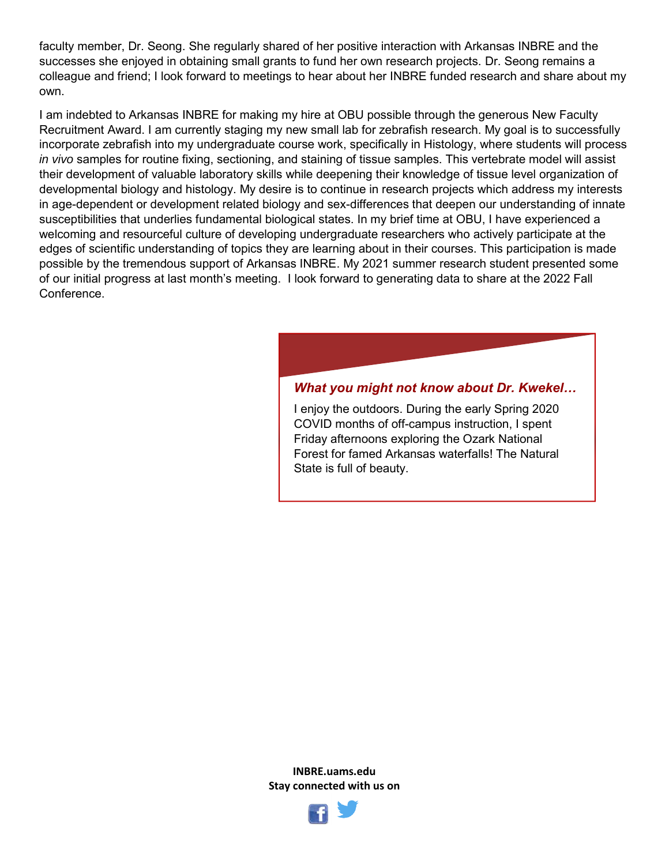faculty member, Dr. Seong. She regularly shared of her positive interaction with Arkansas INBRE and the successes she enjoyed in obtaining small grants to fund her own research projects. Dr. Seong remains a colleague and friend; I look forward to meetings to hear about her INBRE funded research and share about my own.

I am indebted to Arkansas INBRE for making my hire at OBU possible through the generous New Faculty Recruitment Award. I am currently staging my new small lab for zebrafish research. My goal is to successfully incorporate zebrafish into my undergraduate course work, specifically in Histology, where students will process *in vivo* samples for routine fixing, sectioning, and staining of tissue samples. This vertebrate model will assist their development of valuable laboratory skills while deepening their knowledge of tissue level organization of developmental biology and histology. My desire is to continue in research projects which address my interests in age-dependent or development related biology and sex-differences that deepen our understanding of innate susceptibilities that underlies fundamental biological states. In my brief time at OBU, I have experienced a welcoming and resourceful culture of developing undergraduate researchers who actively participate at the edges of scientific understanding of topics they are learning about in their courses. This participation is made possible by the tremendous support of Arkansas INBRE. My 2021 summer research student presented some of our initial progress at last month's meeting. I look forward to generating data to share at the 2022 Fall Conference.

## *What you might not know about Dr. Kwekel…*

I enjoy the outdoors. During the early Spring 2020 COVID months of off-campus instruction, I spent Friday afternoons exploring the Ozark National Forest for famed Arkansas waterfalls! The Natural State is full of beauty.

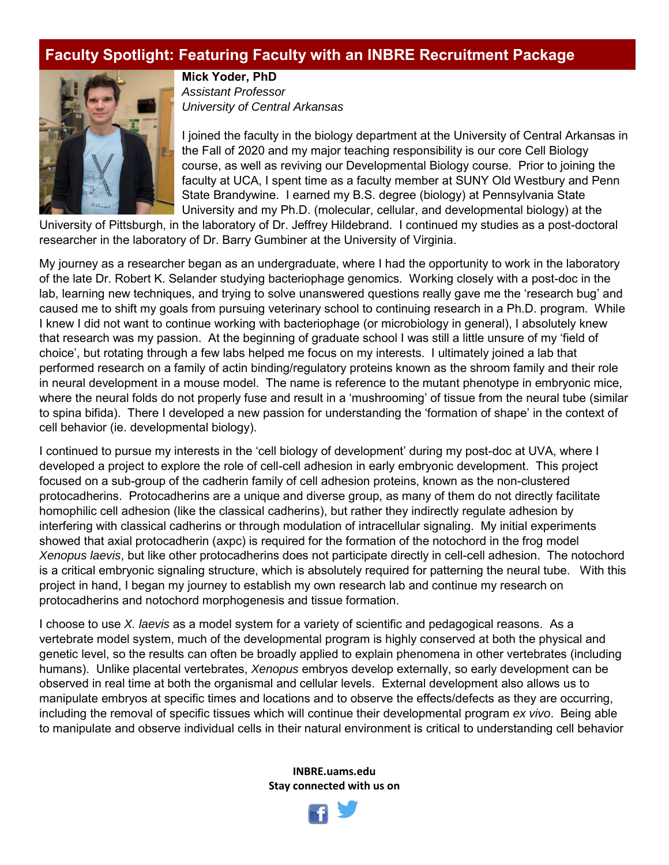# **Faculty Spotlight: Featuring Faculty with an INBRE Recruitment Package**



**Mick Yoder, PhD** *Assistant Professor University of Central Arkansas*

I joined the faculty in the biology department at the University of Central Arkansas in the Fall of 2020 and my major teaching responsibility is our core Cell Biology course, as well as reviving our Developmental Biology course. Prior to joining the faculty at UCA, I spent time as a faculty member at SUNY Old Westbury and Penn State Brandywine. I earned my B.S. degree (biology) at Pennsylvania State University and my Ph.D. (molecular, cellular, and developmental biology) at the

University of Pittsburgh, in the laboratory of Dr. Jeffrey Hildebrand. I continued my studies as a post-doctoral researcher in the laboratory of Dr. Barry Gumbiner at the University of Virginia.

My journey as a researcher began as an undergraduate, where I had the opportunity to work in the laboratory of the late Dr. Robert K. Selander studying bacteriophage genomics. Working closely with a post-doc in the lab, learning new techniques, and trying to solve unanswered questions really gave me the 'research bug' and caused me to shift my goals from pursuing veterinary school to continuing research in a Ph.D. program. While I knew I did not want to continue working with bacteriophage (or microbiology in general), I absolutely knew that research was my passion. At the beginning of graduate school I was still a little unsure of my 'field of choice', but rotating through a few labs helped me focus on my interests. I ultimately joined a lab that performed research on a family of actin binding/regulatory proteins known as the shroom family and their role in neural development in a mouse model. The name is reference to the mutant phenotype in embryonic mice, where the neural folds do not properly fuse and result in a 'mushrooming' of tissue from the neural tube (similar to spina bifida). There I developed a new passion for understanding the 'formation of shape' in the context of cell behavior (ie. developmental biology).

I continued to pursue my interests in the 'cell biology of development' during my post-doc at UVA, where I developed a project to explore the role of cell-cell adhesion in early embryonic development. This project focused on a sub-group of the cadherin family of cell adhesion proteins, known as the non-clustered protocadherins. Protocadherins are a unique and diverse group, as many of them do not directly facilitate homophilic cell adhesion (like the classical cadherins), but rather they indirectly regulate adhesion by interfering with classical cadherins or through modulation of intracellular signaling. My initial experiments showed that axial protocadherin (axpc) is required for the formation of the notochord in the frog model *Xenopus laevis*, but like other protocadherins does not participate directly in cell-cell adhesion. The notochord is a critical embryonic signaling structure, which is absolutely required for patterning the neural tube. With this project in hand, I began my journey to establish my own research lab and continue my research on protocadherins and notochord morphogenesis and tissue formation.

I choose to use *X. laevis* as a model system for a variety of scientific and pedagogical reasons. As a vertebrate model system, much of the developmental program is highly conserved at both the physical and genetic level, so the results can often be broadly applied to explain phenomena in other vertebrates (including humans). Unlike placental vertebrates, *Xenopus* embryos develop externally, so early development can be observed in real time at both the organismal and cellular levels. External development also allows us to manipulate embryos at specific times and locations and to observe the effects/defects as they are occurring, including the removal of specific tissues which will continue their developmental program *ex vivo*. Being able to manipulate and observe individual cells in their natural environment is critical to understanding cell behavior

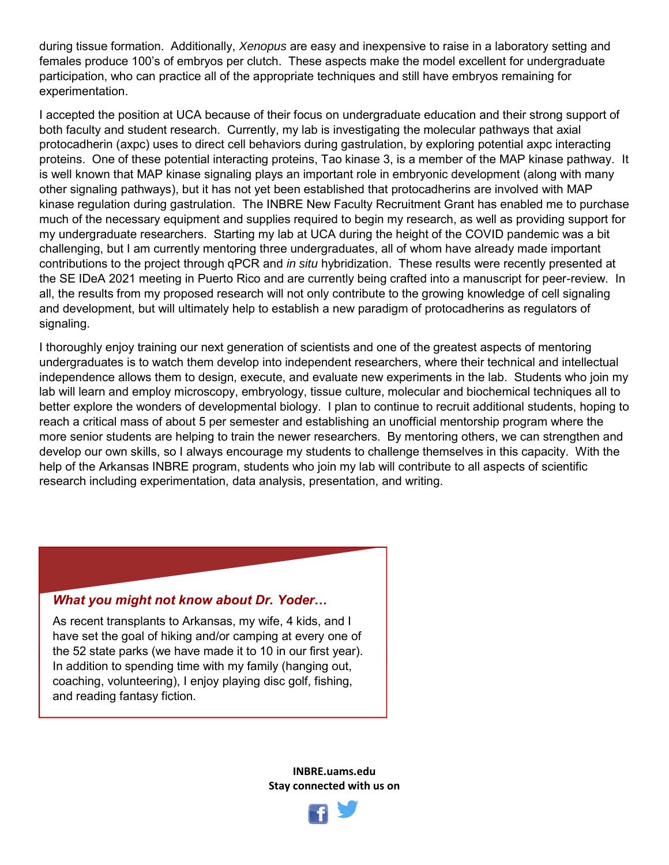during tissue formation. Additionally, *Xenopus* are easy and inexpensive to raise in a laboratory setting and females produce 100's of embryos per clutch. These aspects make the model excellent for undergraduate participation, who can practice all of the appropriate techniques and still have embryos remaining for experimentation.

I accepted the position at UCA because of their focus on undergraduate education and their strong support of both faculty and student research. Currently, my lab is investigating the molecular pathways that axial protocadherin (axpc) uses to direct cell behaviors during gastrulation, by exploring potential axpc interacting proteins. One of these potential interacting proteins, Tao kinase 3, is a member of the MAP kinase pathway. It is well known that MAP kinase signaling plays an important role in embryonic development (along with many other signaling pathways), but it has not yet been established that protocadherins are involved with MAP kinase regulation during gastrulation. The INBRE New Faculty Recruitment Grant has enabled me to purchase much of the necessary equipment and supplies required to begin my research, as well as providing support for my undergraduate researchers. Starting my lab at UCA during the height of the COVID pandemic was a bit challenging, but I am currently mentoring three undergraduates, all of whom have already made important contributions to the project through qPCR and *in situ* hybridization. These results were recently presented at the SE IDeA 2021 meeting in Puerto Rico and are currently being crafted into a manuscript for peer-review. In all, the results from my proposed research will not only contribute to the growing knowledge of cell signaling and development, but will ultimately help to establish a new paradigm of protocadherins as regulators of signaling.

I thoroughly enjoy training our next generation of scientists and one of the greatest aspects of mentoring undergraduates is to watch them develop into independent researchers, where their technical and intellectual independence allows them to design, execute, and evaluate new experiments in the lab. Students who join my lab will learn and employ microscopy, embryology, tissue culture, molecular and biochemical techniques all to better explore the wonders of developmental biology. I plan to continue to recruit additional students, hoping to reach a critical mass of about 5 per semester and establishing an unofficial mentorship program where the more senior students are helping to train the newer researchers. By mentoring others, we can strengthen and develop our own skills, so I always encourage my students to challenge themselves in this capacity. With the help of the Arkansas INBRE program, students who join my lab will contribute to all aspects of scientific research including experimentation, data analysis, presentation, and writing.

## *What you might not know about Dr. Yoder…*

As recent transplants to Arkansas, my wife, 4 kids, and I have set the goal of hiking and/or camping at every one of the 52 state parks (we have made it to 10 in our first year). In addition to spending time with my family (hanging out, coaching, volunteering), I enjoy playing disc golf, fishing, and reading fantasy fiction.

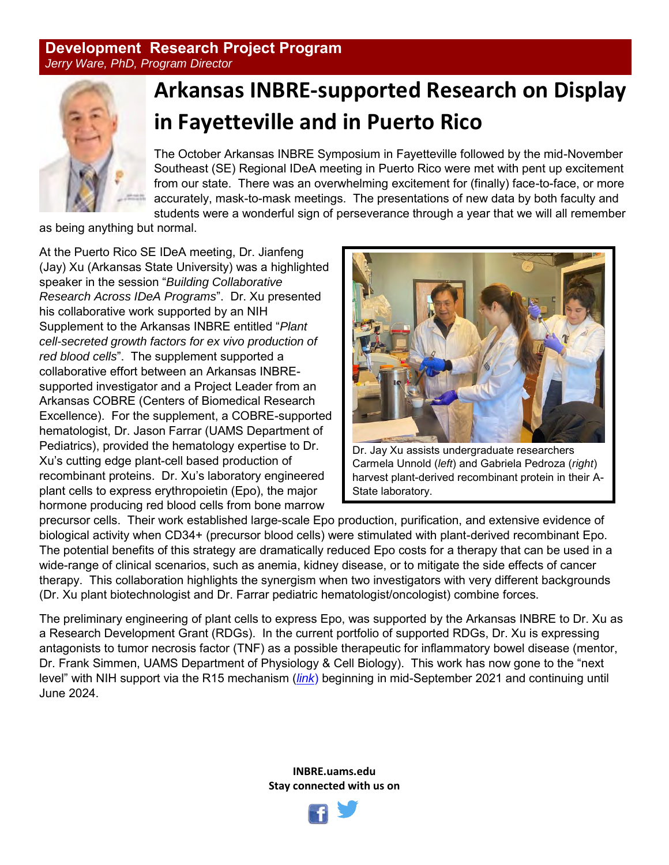## **Development Research Project Program** *Jerry Ware, PhD, Program Director*



# **Arkansas INBRE-supported Research on Display in Fayetteville and in Puerto Rico**

The October Arkansas INBRE Symposium in Fayetteville followed by the mid-November Southeast (SE) Regional IDeA meeting in Puerto Rico were met with pent up excitement from our state. There was an overwhelming excitement for (finally) face-to-face, or more accurately, mask-to-mask meetings. The presentations of new data by both faculty and students were a wonderful sign of perseverance through a year that we will all remember

as being anything but normal.

At the Puerto Rico SE IDeA meeting, Dr. Jianfeng (Jay) Xu (Arkansas State University) was a highlighted speaker in the session "*Building Collaborative Research Across IDeA Programs*". Dr. Xu presented his collaborative work supported by an NIH Supplement to the Arkansas INBRE entitled "*Plant cell-secreted growth factors for ex vivo production of red blood cells*". The supplement supported a collaborative effort between an Arkansas INBREsupported investigator and a Project Leader from an Arkansas COBRE (Centers of Biomedical Research Excellence). For the supplement, a COBRE-supported hematologist, Dr. Jason Farrar (UAMS Department of Pediatrics), provided the hematology expertise to Dr. Xu's cutting edge plant-cell based production of recombinant proteins. Dr. Xu's laboratory engineered plant cells to express erythropoietin (Epo), the major hormone producing red blood cells from bone marrow



Dr. Jay Xu assists undergraduate researchers Carmela Unnold (*left*) and Gabriela Pedroza (*right*) harvest plant-derived recombinant protein in their A-State laboratory.

precursor cells. Their work established large-scale Epo production, purification, and extensive evidence of biological activity when CD34+ (precursor blood cells) were stimulated with plant-derived recombinant Epo. The potential benefits of this strategy are dramatically reduced Epo costs for a therapy that can be used in a wide-range of clinical scenarios, such as anemia, kidney disease, or to mitigate the side effects of cancer therapy. This collaboration highlights the synergism when two investigators with very different backgrounds (Dr. Xu plant biotechnologist and Dr. Farrar pediatric hematologist/oncologist) combine forces.

The preliminary engineering of plant cells to express Epo, was supported by the Arkansas INBRE to Dr. Xu as a Research Development Grant (RDGs). In the current portfolio of supported RDGs, Dr. Xu is expressing antagonists to tumor necrosis factor (TNF) as a possible therapeutic for inflammatory bowel disease (mentor, Dr. Frank Simmen, UAMS Department of Physiology & Cell Biology). This work has now gone to the "next level" with NIH support via the R15 mechanism (*[link](https://reporter.nih.gov/search/ENFafihho0-B4phvegUY7w/project-details/10202300#details)*) beginning in mid-September 2021 and continuing until June 2024.

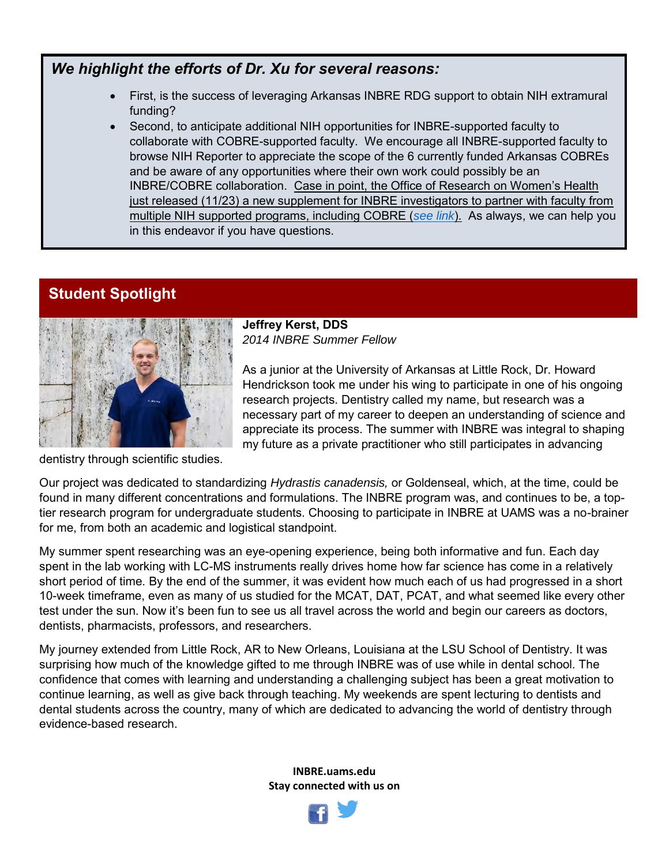# *We highlight the efforts of Dr. Xu for several reasons:*

- First, is the success of leveraging Arkansas INBRE RDG support to obtain NIH extramural funding?
- Second, to anticipate additional NIH opportunities for INBRE-supported faculty to collaborate with COBRE-supported faculty. We encourage all INBRE-supported faculty to browse NIH Reporter to appreciate the scope of the 6 currently funded Arkansas COBREs and be aware of any opportunities where their own work could possibly be an INBRE/COBRE collaboration. Case in point, the Office of Research on Women's Health just released (11/23) a new supplement for INBRE investigators to partner with faculty from multiple NIH supported programs, including COBRE (*[see link](https://grants.nih.gov/grants/guide/notice-files/NOT-GM-22-001.html)*). As always, we can help you in this endeavor if you have questions.

# **Student Spotlight**



**Jeffrey Kerst, DDS** *2014 INBRE Summer Fellow*

As a junior at the University of Arkansas at Little Rock, Dr. Howard Hendrickson took me under his wing to participate in one of his ongoing research projects. Dentistry called my name, but research was a necessary part of my career to deepen an understanding of science and appreciate its process. The summer with INBRE was integral to shaping my future as a private practitioner who still participates in advancing

dentistry through scientific studies.

Our project was dedicated to standardizing *Hydrastis canadensis,* or Goldenseal, which, at the time, could be found in many different concentrations and formulations. The INBRE program was, and continues to be, a toptier research program for undergraduate students. Choosing to participate in INBRE at UAMS was a no-brainer for me, from both an academic and logistical standpoint.

My summer spent researching was an eye-opening experience, being both informative and fun. Each day spent in the lab working with LC-MS instruments really drives home how far science has come in a relatively short period of time. By the end of the summer, it was evident how much each of us had progressed in a short 10-week timeframe, even as many of us studied for the MCAT, DAT, PCAT, and what seemed like every other test under the sun. Now it's been fun to see us all travel across the world and begin our careers as doctors, dentists, pharmacists, professors, and researchers.

My journey extended from Little Rock, AR to New Orleans, Louisiana at the LSU School of Dentistry. It was surprising how much of the knowledge gifted to me through INBRE was of use while in dental school. The confidence that comes with learning and understanding a challenging subject has been a great motivation to continue learning, as well as give back through teaching. My weekends are spent lecturing to dentists and dental students across the country, many of which are dedicated to advancing the world of dentistry through evidence-based research.

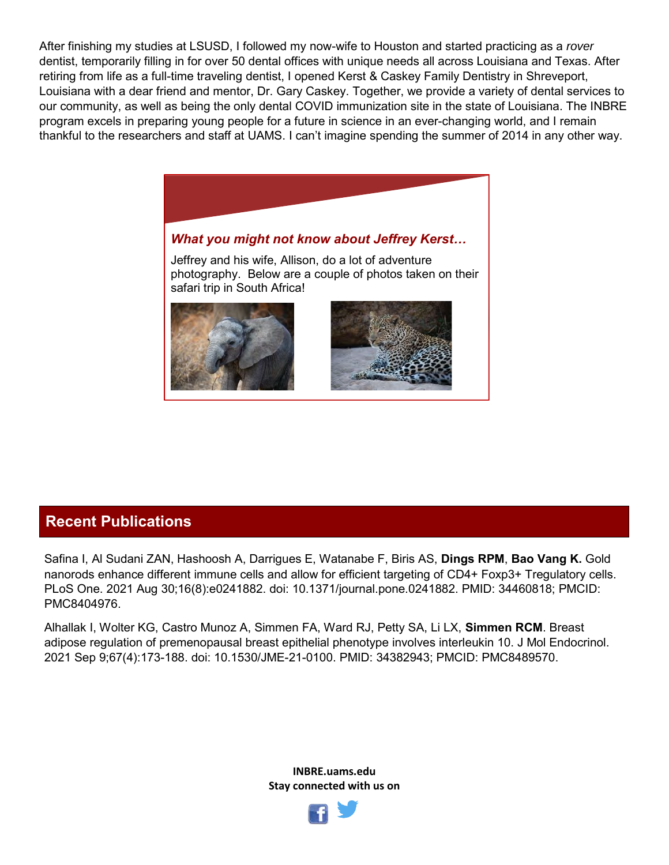After finishing my studies at LSUSD, I followed my now-wife to Houston and started practicing as a *rover*  dentist, temporarily filling in for over 50 dental offices with unique needs all across Louisiana and Texas. After retiring from life as a full-time traveling dentist, I opened Kerst & Caskey Family Dentistry in Shreveport, Louisiana with a dear friend and mentor, Dr. Gary Caskey. Together, we provide a variety of dental services to our community, as well as being the only dental COVID immunization site in the state of Louisiana. The INBRE program excels in preparing young people for a future in science in an ever-changing world, and I remain thankful to the researchers and staff at UAMS. I can't imagine spending the summer of 2014 in any other way.



# **Recent Publications**

Safina I, Al Sudani ZAN, Hashoosh A, Darrigues E, Watanabe F, Biris AS, **Dings RPM**, **Bao Vang K.** Gold nanorods enhance different immune cells and allow for efficient targeting of CD4+ Foxp3+ Tregulatory cells. PLoS One. 2021 Aug 30;16(8):e0241882. doi: 10.1371/journal.pone.0241882. PMID: 34460818; PMCID: PMC8404976.

Alhallak I, Wolter KG, Castro Munoz A, Simmen FA, Ward RJ, Petty SA, Li LX, **Simmen RCM**. Breast adipose regulation of premenopausal breast epithelial phenotype involves interleukin 10. J Mol Endocrinol. 2021 Sep 9;67(4):173-188. doi: 10.1530/JME-21-0100. PMID: 34382943; PMCID: PMC8489570.

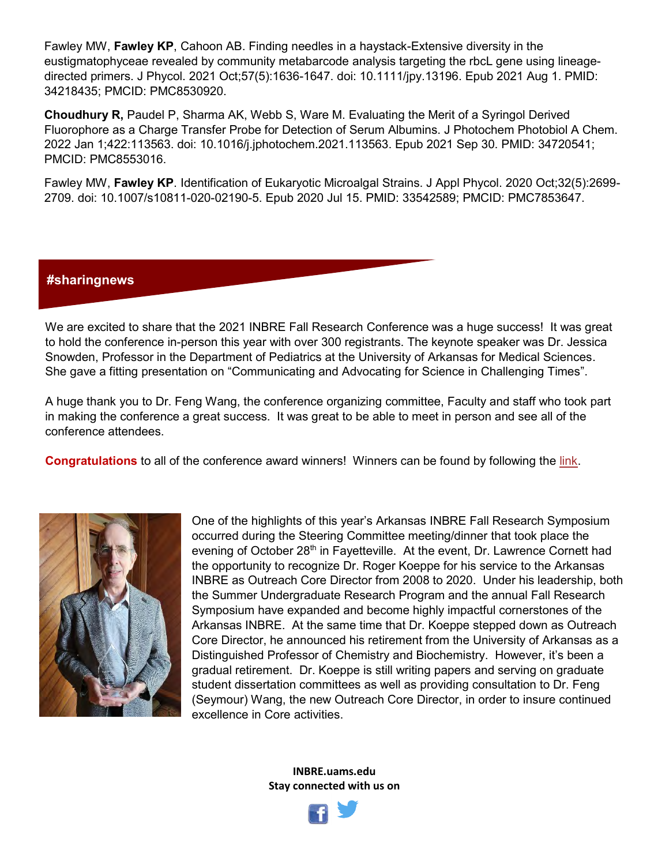Fawley MW, **Fawley KP**, Cahoon AB. Finding needles in a haystack-Extensive diversity in the eustigmatophyceae revealed by community metabarcode analysis targeting the rbcL gene using lineagedirected primers. J Phycol. 2021 Oct;57(5):1636-1647. doi: 10.1111/jpy.13196. Epub 2021 Aug 1. PMID: 34218435; PMCID: PMC8530920.

**Choudhury R,** Paudel P, Sharma AK, Webb S, Ware M. Evaluating the Merit of a Syringol Derived Fluorophore as a Charge Transfer Probe for Detection of Serum Albumins. J Photochem Photobiol A Chem. 2022 Jan 1;422:113563. doi: 10.1016/j.jphotochem.2021.113563. Epub 2021 Sep 30. PMID: 34720541; PMCID: PMC8553016.

Fawley MW, **Fawley KP**. Identification of Eukaryotic Microalgal Strains. J Appl Phycol. 2020 Oct;32(5):2699- 2709. doi: 10.1007/s10811-020-02190-5. Epub 2020 Jul 15. PMID: 33542589; PMCID: PMC7853647.

## **#sharingnews**

We are excited to share that the 2021 INBRE Fall Research Conference was a huge success! It was great to hold the conference in-person this year with over 300 registrants. The keynote speaker was Dr. Jessica Snowden, Professor in the Department of Pediatrics at the University of Arkansas for Medical Sciences. She gave a fitting presentation on "Communicating and Advocating for Science in Challenging Times".

A huge thank you to Dr. Feng Wang, the conference organizing committee, Faculty and staff who took part in making the conference a great success. It was great to be able to meet in person and see all of the conference attendees.

**Congratulations** to all of the conference award winners! Winners can be found by following the [link.](https://inbre.uark.edu/)



One of the highlights of this year's Arkansas INBRE Fall Research Symposium occurred during the Steering Committee meeting/dinner that took place the evening of October  $28<sup>th</sup>$  in Fayetteville. At the event, Dr. Lawrence Cornett had the opportunity to recognize Dr. Roger Koeppe for his service to the Arkansas INBRE as Outreach Core Director from 2008 to 2020. Under his leadership, both the Summer Undergraduate Research Program and the annual Fall Research Symposium have expanded and become highly impactful cornerstones of the Arkansas INBRE. At the same time that Dr. Koeppe stepped down as Outreach Core Director, he announced his retirement from the University of Arkansas as a Distinguished Professor of Chemistry and Biochemistry. However, it's been a gradual retirement. Dr. Koeppe is still writing papers and serving on graduate student dissertation committees as well as providing consultation to Dr. Feng (Seymour) Wang, the new Outreach Core Director, in order to insure continued excellence in Core activities.